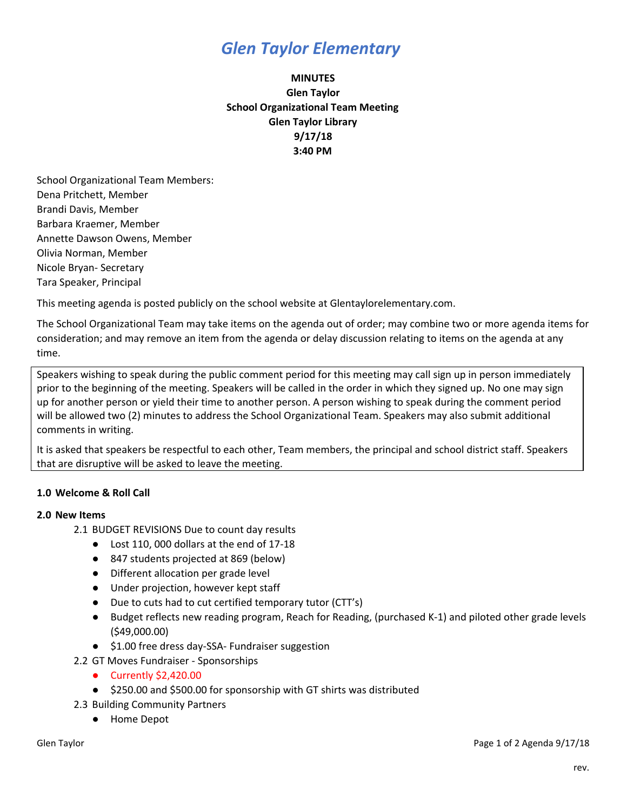# *Glen Taylor Elementary*

## **MINUTES Glen Taylor School Organizational Team Meeting Glen Taylor Library 9/17/18 3:40 PM**

School Organizational Team Members: Dena Pritchett, Member Brandi Davis, Member Barbara Kraemer, Member Annette Dawson Owens, Member Olivia Norman, Member Nicole Bryan- Secretary Tara Speaker, Principal

This meeting agenda is posted publicly on the school website at Glentaylorelementary.com.

The School Organizational Team may take items on the agenda out of order; may combine two or more agenda items for consideration; and may remove an item from the agenda or delay discussion relating to items on the agenda at any time.

Speakers wishing to speak during the public comment period for this meeting may call sign up in person immediately prior to the beginning of the meeting. Speakers will be called in the order in which they signed up. No one may sign up for another person or yield their time to another person. A person wishing to speak during the comment period will be allowed two (2) minutes to address the School Organizational Team. Speakers may also submit additional comments in writing.

It is asked that speakers be respectful to each other, Team members, the principal and school district staff. Speakers that are disruptive will be asked to leave the meeting.

### **1.0 Welcome & Roll Call**

### **2.0 New Items**

- 2.1 BUDGET REVISIONS Due to count day results
	- Lost 110, 000 dollars at the end of 17-18
	- 847 students projected at 869 (below)
	- Different allocation per grade level
	- Under projection, however kept staff
	- Due to cuts had to cut certified temporary tutor (CTT's)
	- Budget reflects new reading program, Reach for Reading, (purchased K-1) and piloted other grade levels (\$49,000.00)
	- \$1.00 free dress day-SSA- Fundraiser suggestion
- 2.2 GT Moves Fundraiser Sponsorships
	- Currently \$2,420.00
	- \$250.00 and \$500.00 for sponsorship with GT shirts was distributed
- 2.3 Building Community Partners
	- Home Depot